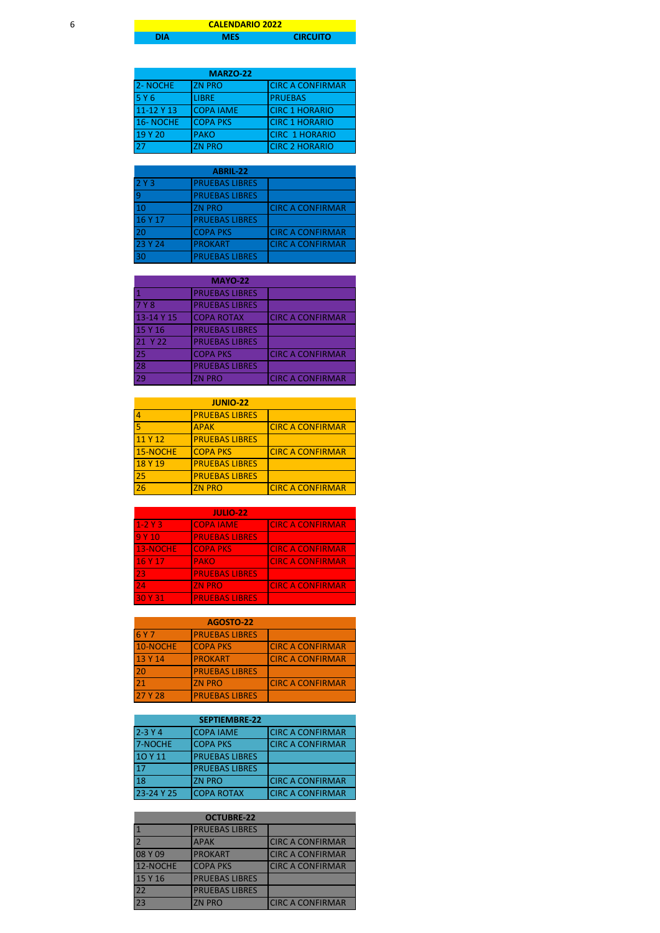## **DIA MES CIRCUITO CALENDARIO 2022**

|            | <b>MARZO-22</b>  |                         |
|------------|------------------|-------------------------|
| 2-NOCHE    | <b>IZN PRO</b>   | <b>CIRC A CONFIRMAR</b> |
| 5 Y 6      | <b>LIBRE</b>     | <b>PRUEBAS</b>          |
| 11-12 Y 13 | <b>COPA IAME</b> | <b>CIRC 1 HORARIO</b>   |
| 16-NOCHE   | <b>COPA PKS</b>  | <b>CIRC 1 HORARIO</b>   |
| 19 Y 20    | <b>PAKO</b>      | <b>CIRC 1 HORARIO</b>   |
| 27         | <b>ZN PRO</b>    | <b>CIRC 2 HORARIO</b>   |

| ABRIL-22       |                       |                         |
|----------------|-----------------------|-------------------------|
| 2Y3            | <b>PRUEBAS LIBRES</b> |                         |
| $\overline{9}$ | <b>PRUEBAS LIBRES</b> |                         |
| 10             | <b>ZN PRO</b>         | <b>CIRC A CONFIRMAR</b> |
| 16 Y 17        | <b>PRUEBAS LIBRES</b> |                         |
| 20             | <b>COPA PKS</b>       | <b>CIRC A CONFIRMAR</b> |
| 23 Y 24        | <b>PROKART</b>        | <b>CIRC A CONFIRMAR</b> |
| 30             | <b>PRUEBAS LIBRES</b> |                         |

|            | <b>MAYO-22</b>        |                         |
|------------|-----------------------|-------------------------|
|            | <b>PRUEBAS LIBRES</b> |                         |
| 7 Y 8      | <b>PRUEBAS LIBRES</b> |                         |
| 13-14 Y 15 | <b>COPA ROTAX</b>     | <b>CIRC A CONFIRMAR</b> |
| 15 Y 16    | <b>PRUEBAS LIBRES</b> |                         |
| 21 Y 22    | <b>PRUEBAS LIBRES</b> |                         |
| 25         | <b>COPA PKS</b>       | <b>CIRC A CONFIRMAR</b> |
| 28         | <b>PRUEBAS LIBRES</b> |                         |
| 29         | <b>ZN PRO</b>         | <b>CIRC A CONFIRMAR</b> |

| <b>JUNIO-22</b> |                       |                         |
|-----------------|-----------------------|-------------------------|
| 4               | <b>PRUEBAS LIBRES</b> |                         |
|                 | <b>APAK</b>           | <b>CIRC A CONFIRMAR</b> |
| 11 Y 12         | <b>PRUEBAS LIBRES</b> |                         |
| 15-NOCHE        | <b>COPA PKS</b>       | <b>CIRC A CONFIRMAR</b> |
| 18 Y 19         | <b>PRUEBAS LIBRES</b> |                         |
| 25              | <b>PRUEBAS LIBRES</b> |                         |
| 26              | <b>ZN PRO</b>         | <b>CIRC A CONFIRMAR</b> |

|           | <b>JULIO-22</b>       |                         |
|-----------|-----------------------|-------------------------|
| $1-2$ Y 3 | <b>COPA IAME</b>      | <b>CIRC A CONFIRMAR</b> |
| 9 Y 10    | <b>PRUEBAS LIBRES</b> |                         |
| 13-NOCHE  | <b>COPA PKS</b>       | <b>CIRC A CONFIRMAR</b> |
| 16 Y 17   | <b>PAKO</b>           | <b>CIRC A CONFIRMAR</b> |
| 23        | <b>PRUEBAS LIBRES</b> |                         |
| 24        | <b>ZN PRO</b>         | <b>CIRC A CONFIRMAR</b> |
| 30 Y 31   | <b>PRUEBAS LIBRES</b> |                         |

|            | <b>AGOSTO-22</b>      |                         |
|------------|-----------------------|-------------------------|
| <b>6Y7</b> | <b>PRUEBAS LIBRES</b> |                         |
| 10-NOCHE   | <b>COPA PKS</b>       | <b>CIRC A CONFIRMAR</b> |
| 13 Y 14    | <b>PROKART</b>        | <b>CIRC A CONFIRMAR</b> |
| 20         | <b>PRUEBAS LIBRES</b> |                         |
| 21         | <b>ZN PRO</b>         | <b>CIRC A CONFIRMAR</b> |
| 27 Y 28    | <b>PRUEBAS LIBRES</b> |                         |

|              | <b>SEPTIEMBRE-22</b>  |                          |
|--------------|-----------------------|--------------------------|
| $2 - 3Y4$    | <b>COPA IAME</b>      | <b>ICIRC A CONFIRMAR</b> |
| 7-NOCHE      | <b>COPA PKS</b>       | <b>CIRC A CONFIRMAR</b>  |
| 10 Y 11      | <b>PRUEBAS LIBRES</b> |                          |
| $\mathbf{T}$ | <b>PRUEBAS LIBRES</b> |                          |
| <b>18</b>    | <b>ZN PRO</b>         | <b>CIRC A CONFIRMAR</b>  |
| 23-24 Y 25   | <b>COPA ROTAX</b>     | <b>CIRC A CONFIRMAR</b>  |

| <b>OCTUBRE-22</b> |                       |                         |
|-------------------|-----------------------|-------------------------|
|                   | <b>PRUEBAS LIBRES</b> |                         |
|                   | <b>APAK</b>           | <b>CIRC A CONFIRMAR</b> |
| 08 Y 09           | <b>PROKART</b>        | <b>CIRC A CONFIRMAR</b> |
| 12-NOCHE          | <b>COPA PKS</b>       | <b>CIRC A CONFIRMAR</b> |
| 15 Y 16           | <b>PRUEBAS LIBRES</b> |                         |
| $-22$             | <b>PRUEBAS LIBRES</b> |                         |
| 23                | <b>ZN PRO</b>         | <b>CIRC A CONFIRMAR</b> |